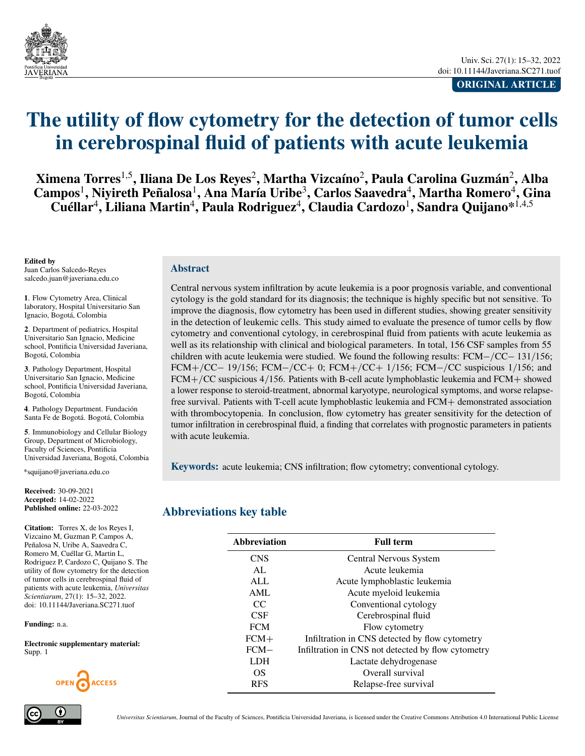<span id="page-0-0"></span>

**ORIGINAL ARTICLE**

# **The utility of flow cytometry for the detection of tumor cells in cerebrospinal fluid of patients with acute leukemia**

**Ximena Torres**1,5**, Iliana De Los Reyes**<sup>2</sup> **, Martha Vizcaíno**<sup>2</sup> **, Paula Carolina Guzmán**<sup>2</sup> **, Alba**  $\textbf{Campos}^1, \textbf{Niyireth Peñalosa}^1, \textbf{Ana María Uribe}^3, \textbf{Carlos Saavedra}^4, \textbf{Martha Romero}^4, \textbf{Gina}$  $\mathbf{C}$ uéllar<sup>4</sup>, Liliana Martin<sup>4</sup>, Paula Rodriguez<sup>4</sup>, Claudia Cardozo<sup>1</sup>, Sandra Quijano\*<sup>1,4,5</sup>

#### **Edited by**

Juan Carlos Salcedo-Reyes [salcedo.juan@javeriana.edu.co](mailto:salcedo.juan@javeriana.edu.co)

**1**. Flow Cytometry Area, Clinical laboratory, Hospital Universitario San Ignacio, Bogotá, Colombia

**2**. Department of pediatrics, Hospital Universitario San Ignacio, Medicine school, Pontificia Universidad Javeriana Bogotá, Colombia

**3**. Pathology Department, Hospital Universitario San Ignacio, Medicine school, Pontificia Universidad Javeriana, Bogotá, Colombia

**4**. Pathology Department. Fundación Santa Fe de Bogotá. Bogotá, Colombia

**5**. Immunobiology and Cellular Biology Group, Department of Microbiology, Faculty of Sciences, Pontificia Universidad Javeriana, Bogotá, Colombia

[\\*squijano@javeriana.edu.co](mailto:squijano@javeriana.edu.co)

**Received:** 30-09-2021 **Accepted:** 14-02-2022 **Published online:** 22-03-2022

**Citation:** Torres X, de los Reyes I, Vizcaino M, Guzman P, Campos A, Peñalosa N, Uribe A, Saavedra C, Romero M, Cuéllar G, Martin L, Rodriguez P, Cardozo C, Quijano S. The utility of flow cytometry for the detection of tumor cells in cerebrospinal fluid of patients with acute leukemia, *Universitas Scientiarum*, 27(1): 15–32, 2022. doi: 10.11144/Javeriana.SC271.tuof

**Funding:** n.a.

**Electronic supplementary material:** Supp. 1



#### **Abstract**

Central nervous system infiltration by acute leukemia is a poor prognosis variable, and conventional cytology is the gold standard for its diagnosis; the technique is highly specific but not sensitive. To improve the diagnosis, flow cytometry has been used in different studies, showing greater sensitivity in the detection of leukemic cells. This study aimed to evaluate the presence of tumor cells by flow cytometry and conventional cytology, in cerebrospinal fluid from patients with acute leukemia as well as its relationship with clinical and biological parameters. In total, 156 CSF samples from 55 children with acute leukemia were studied. We found the following results:  $FCM - /CC - 131/156$ ;  $FCM+/CC-19/156$ ;  $FCM-/CC+0$ ;  $FCM+/CC+1/156$ ;  $FCM-/CC$  suspicious 1/156; and  $FCM+/CC$  suspicious 4/156. Patients with B-cell acute lymphoblastic leukemia and  $FCM+$  showed a lower response to steroid-treatment, abnormal karyotype, neurological symptoms, and worse relapsefree survival. Patients with T-cell acute lymphoblastic leukemia and FCM+ demonstrated association with thrombocytopenia. In conclusion, flow cytometry has greater sensitivity for the detection of tumor infiltration in cerebrospinal fluid, a finding that correlates with prognostic parameters in patients with acute leukemia.

**Keywords:** acute leukemia; CNS infiltration; flow cytometry; conventional cytology.

#### **Abbreviations key table**

| <b>Abbreviation</b> | <b>Full term</b>                                   |  |
|---------------------|----------------------------------------------------|--|
| <b>CNS</b>          | Central Nervous System                             |  |
| AL                  | Acute leukemia                                     |  |
| <b>ALL</b>          | Acute lymphoblastic leukemia                       |  |
| AML                 | Acute myeloid leukemia                             |  |
| CC                  | Conventional cytology                              |  |
| <b>CSF</b>          | Cerebrospinal fluid                                |  |
| <b>FCM</b>          | Flow cytometry                                     |  |
| $FCM+$              | Infiltration in CNS detected by flow cytometry     |  |
| $FCM-$              | Infiltration in CNS not detected by flow cytometry |  |
| LDH.                | Lactate dehydrogenase                              |  |
| OS                  | Overall survival                                   |  |
| <b>RFS</b>          | Relapse-free survival                              |  |

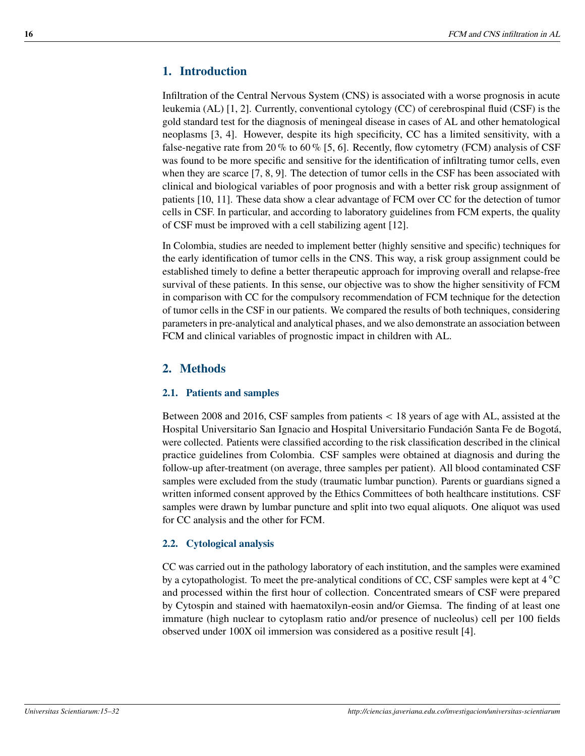# **1. Introduction**

Infiltration of the Central Nervous System (CNS) is associated with a worse prognosis in acute leukemia (AL) [\[1,](#page-9-0) [2\]](#page-9-1). Currently, conventional cytology (CC) of cerebrospinal fluid (CSF) is the gold standard test for the diagnosis of meningeal disease in cases of AL and other hematological neoplasms [\[3,](#page-9-2) [4\]](#page-10-0). However, despite its high specificity, CC has a limited sensitivity, with a false-negative rate from 20 % to 60 % [\[5,](#page-10-1) [6\]](#page-10-2). Recently, flow cytometry (FCM) analysis of CSF was found to be more specific and sensitive for the identification of infiltrating tumor cells, even when they are scarce [\[7,](#page-10-3) [8,](#page-10-4) [9\]](#page-10-5). The detection of tumor cells in the CSF has been associated with clinical and biological variables of poor prognosis and with a better risk group assignment of patients [\[10,](#page-10-6) [11\]](#page-10-7). These data show a clear advantage of FCM over CC for the detection of tumor cells in CSF. In particular, and according to laboratory guidelines from FCM experts, the quality of CSF must be improved with a cell stabilizing agent [\[12\]](#page-11-0).

In Colombia, studies are needed to implement better (highly sensitive and specific) techniques for the early identification of tumor cells in the CNS. This way, a risk group assignment could be established timely to define a better therapeutic approach for improving overall and relapse-free survival of these patients. In this sense, our objective was to show the higher sensitivity of FCM in comparison with CC for the compulsory recommendation of FCM technique for the detection of tumor cells in the CSF in our patients. We compared the results of both techniques, considering parameters in pre-analytical and analytical phases, and we also demonstrate an association between FCM and clinical variables of prognostic impact in children with AL.

# **2. Methods**

## **2.1. Patients and samples**

Between 2008 and 2016, CSF samples from patients < 18 years of age with AL, assisted at the Hospital Universitario San Ignacio and Hospital Universitario Fundación Santa Fe de Bogotá, were collected. Patients were classified according to the risk classification described in the clinical practice guidelines from Colombia. CSF samples were obtained at diagnosis and during the follow-up after-treatment (on average, three samples per patient). All blood contaminated CSF samples were excluded from the study (traumatic lumbar punction). Parents or guardians signed a written informed consent approved by the Ethics Committees of both healthcare institutions. CSF samples were drawn by lumbar puncture and split into two equal aliquots. One aliquot was used for CC analysis and the other for FCM.

## **2.2. Cytological analysis**

CC was carried out in the pathology laboratory of each institution, and the samples were examined by a cytopathologist. To meet the pre-analytical conditions of CC, CSF samples were kept at 4 °C and processed within the first hour of collection. Concentrated smears of CSF were prepared by Cytospin and stained with haematoxilyn-eosin and/or Giemsa. The finding of at least one immature (high nuclear to cytoplasm ratio and/or presence of nucleolus) cell per 100 fields observed under 100X oil immersion was considered as a positive result [\[4\]](#page-10-0).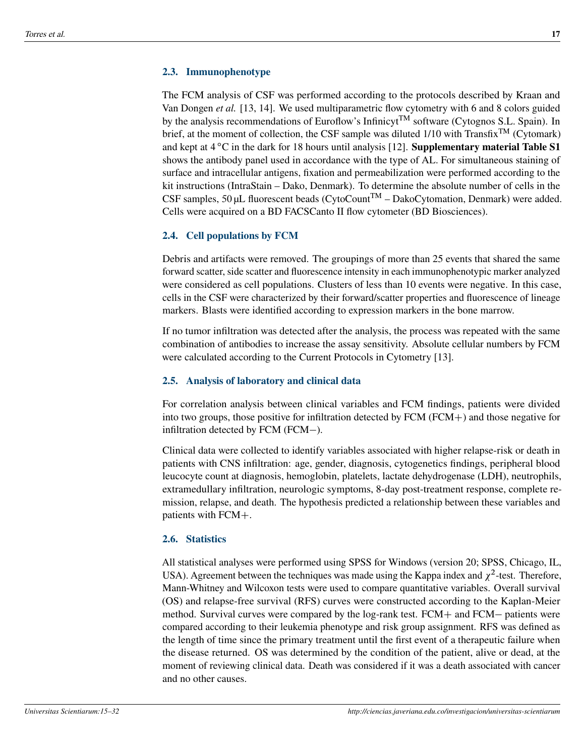#### **2.3. Immunophenotype**

The FCM analysis of CSF was performed according to the protocols described by Kraan and Van Dongen *et al.* [\[13,](#page-11-1) [14\]](#page-11-2). We used multiparametric flow cytometry with 6 and 8 colors guided by the analysis recommendations of Euroflow's Infinicyt<sup>TM</sup> software (Cytognos S.L. Spain). In brief, at the moment of collection, the CSF sample was diluted  $1/10$  with Transfix<sup>TM</sup> (Cytomark) and kept at 4 °C in the dark for 18 hours until analysis [\[12\]](#page-11-0). **Supplementary material Table S1** shows the antibody panel used in accordance with the type of AL. For simultaneous staining of surface and intracellular antigens, fixation and permeabilization were performed according to the kit instructions (IntraStain – Dako, Denmark). To determine the absolute number of cells in the CSF samples, 50 µL fluorescent beads (CytoCount<sup>TM</sup> – DakoCytomation, Denmark) were added. Cells were acquired on a BD FACSCanto II flow cytometer (BD Biosciences).

#### **2.4. Cell populations by FCM**

Debris and artifacts were removed. The groupings of more than 25 events that shared the same forward scatter, side scatter and fluorescence intensity in each immunophenotypic marker analyzed were considered as cell populations. Clusters of less than 10 events were negative. In this case, cells in the CSF were characterized by their forward/scatter properties and fluorescence of lineage markers. Blasts were identified according to expression markers in the bone marrow.

If no tumor infiltration was detected after the analysis, the process was repeated with the same combination of antibodies to increase the assay sensitivity. Absolute cellular numbers by FCM were calculated according to the Current Protocols in Cytometry [\[13\]](#page-11-1).

#### **2.5. Analysis of laboratory and clinical data**

For correlation analysis between clinical variables and FCM findings, patients were divided into two groups, those positive for infiltration detected by  $FCM (FCM+)$  and those negative for infiltration detected by FCM (FCM-).

Clinical data were collected to identify variables associated with higher relapse-risk or death in patients with CNS infiltration: age, gender, diagnosis, cytogenetics findings, peripheral blood leucocyte count at diagnosis, hemoglobin, platelets, lactate dehydrogenase (LDH), neutrophils, extramedullary infiltration, neurologic symptoms, 8-day post-treatment response, complete remission, relapse, and death. The hypothesis predicted a relationship between these variables and patients with  $FCM+$ .

#### **2.6. Statistics**

All statistical analyses were performed using SPSS for Windows (version 20; SPSS, Chicago, IL, USA). Agreement between the techniques was made using the Kappa index and  $\chi^2$ -test. Therefore, Mann-Whitney and Wilcoxon tests were used to compare quantitative variables. Overall survival (OS) and relapse-free survival (RFS) curves were constructed according to the Kaplan-Meier method. Survival curves were compared by the log-rank test.  $FCM+$  and  $FCM-$  patients were compared according to their leukemia phenotype and risk group assignment. RFS was defined as the length of time since the primary treatment until the first event of a therapeutic failure when the disease returned. OS was determined by the condition of the patient, alive or dead, at the moment of reviewing clinical data. Death was considered if it was a death associated with cancer and no other causes.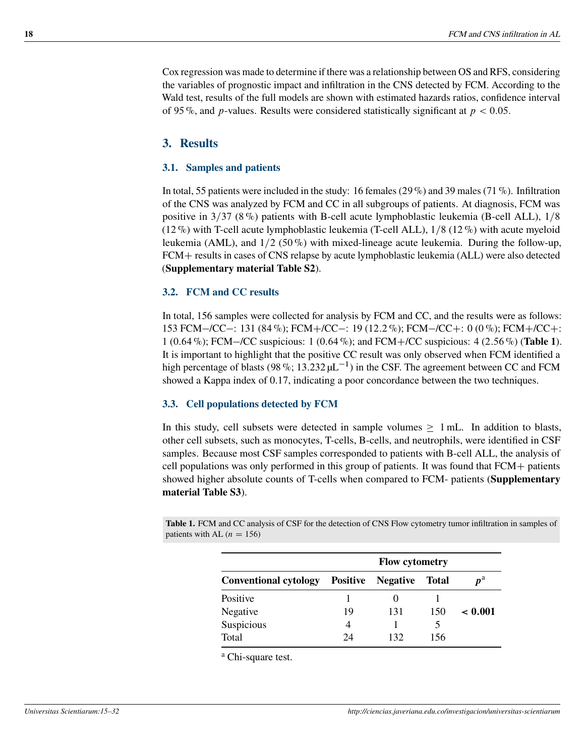Cox regression was made to determine if there was a relationship between OS and RFS, considering the variables of prognostic impact and infiltration in the CNS detected by FCM. According to the Wald test, results of the full models are shown with estimated hazards ratios, confidence interval of 95%, and p-values. Results were considered statistically significant at  $p < 0.05$ .

## **3. Results**

#### **3.1. Samples and patients**

In total, 55 patients were included in the study: 16 females (29 %) and 39 males (71 %). Infiltration of the CNS was analyzed by FCM and CC in all subgroups of patients. At diagnosis, FCM was positive in  $3/37$  (8%) patients with B-cell acute lymphoblastic leukemia (B-cell ALL),  $1/8$ (12 %) with T-cell acute lymphoblastic leukemia (T-cell ALL),  $1/8$  (12 %) with acute myeloid leukemia (AML), and  $1/2$  (50%) with mixed-lineage acute leukemia. During the follow-up, FCM+ results in cases of CNS relapse by acute lymphoblastic leukemia (ALL) were also detected (**Supplementary material Table S2**).

#### **3.2. FCM and CC results**

In total, 156 samples were collected for analysis by FCM and CC, and the results were as follows: 153 FCM-/CC-: 131 (84 %); FCM+/CC-: 19 (12.2 %); FCM-/CC+: 0 (0 %); FCM+/CC+: 1 (0.64 %); FCM-/CC suspicious: 1 (0.64 %); and FCM+/CC suspicious: 4 (2.56 %) (**[Table 1](#page-3-0)**). It is important to highlight that the positive CC result was only observed when FCM identified a high percentage of blasts (98 %; 13.232  $\mu$ L<sup>-1</sup>) in the CSF. The agreement between CC and FCM showed a Kappa index of 0.17, indicating a poor concordance between the two techniques.

#### **3.3. Cell populations detected by FCM**

In this study, cell subsets were detected in sample volumes  $> 1$  mL. In addition to blasts, other cell subsets, such as monocytes, T-cells, B-cells, and neutrophils, were identified in CSF samples. Because most CSF samples corresponded to patients with B-cell ALL, the analysis of cell populations was only performed in this group of patients. It was found that  $FCM +$  patients showed higher absolute counts of T-cells when compared to FCM- patients (**Supplementary material Table S3**).

<span id="page-3-0"></span>**Table 1.** FCM and CC analysis of CSF for the detection of CNS Flow cytometry tumor infiltration in samples of patients with AL  $(n = 156)$ 

|                              | <b>Flow cytometry</b> |                 |              |              |
|------------------------------|-----------------------|-----------------|--------------|--------------|
| <b>Conventional cytology</b> | <b>Positive</b>       | <b>Negative</b> | <b>Total</b> | $p^{\rm a}$  |
| Positive                     |                       |                 |              |              |
| Negative                     | 19                    | 131             | 150          | $\leq 0.001$ |
| Suspicious                   | 4                     |                 |              |              |
| Total                        | 24                    | 132             | 156          |              |

<sup>a</sup> Chi-square test.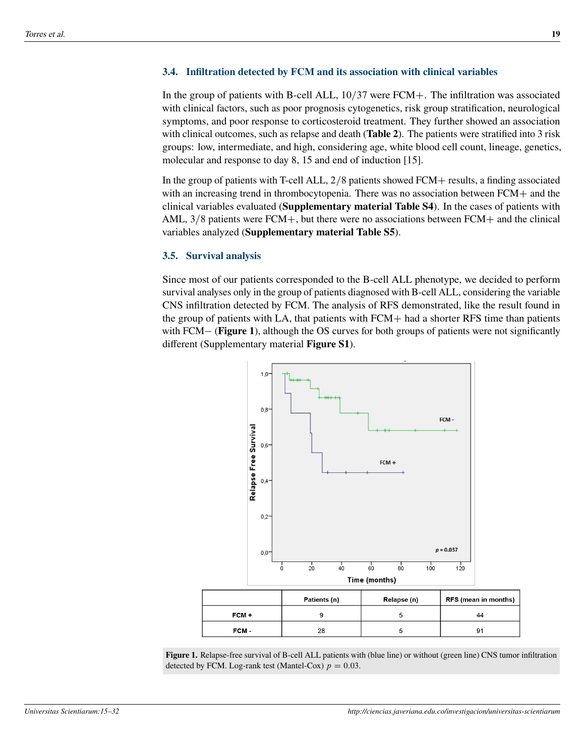#### **3.4. Infiltration detected by FCM and its association with clinical variables**

In the group of patients with B-cell ALL,  $10/37$  were FCM+. The infiltration was associated with clinical factors, such as poor prognosis cytogenetics, risk group stratification, neurological symptoms, and poor response to corticosteroid treatment. They further showed an association with clinical outcomes, such as relapse and death (**[Table 2](#page-5-0)**). The patients were stratified into 3 risk groups: low, intermediate, and high, considering age, white blood cell count, lineage, genetics, molecular and response to day 8, 15 and end of induction [\[15\]](#page-11-3).

In the group of patients with T-cell ALL,  $2/8$  patients showed FCM + results, a finding associated with an increasing trend in thrombocytopenia. There was no association between  $FCM<sub>+</sub>$  and the clinical variables evaluated (**Supplementary material Table S4**). In the cases of patients with AML,  $3/8$  patients were FCM+, but there were no associations between FCM+ and the clinical variables analyzed (**Supplementary material Table S5**).

#### **3.5. Survival analysis**

Since most of our patients corresponded to the B-cell ALL phenotype, we decided to perform survival analyses only in the group of patients diagnosed with B-cell ALL, considering the variable CNS infiltration detected by FCM. The analysis of RFS demonstrated, like the result found in the group of patients with LA, that patients with  $FCM<sub>+</sub>$  had a shorter RFS time than patients with FCM – (**[Figure 1](#page-4-0)**), although the OS curves for both groups of patients were not significantly different (Supplementary material **Figure S1**).

<span id="page-4-0"></span>

**Figure 1.** Relapse-free survival of B-cell ALL patients with (blue line) or without (green line) CNS tumor infiltration detected by FCM. Log-rank test (Mantel-Cox)  $p = 0.03$ .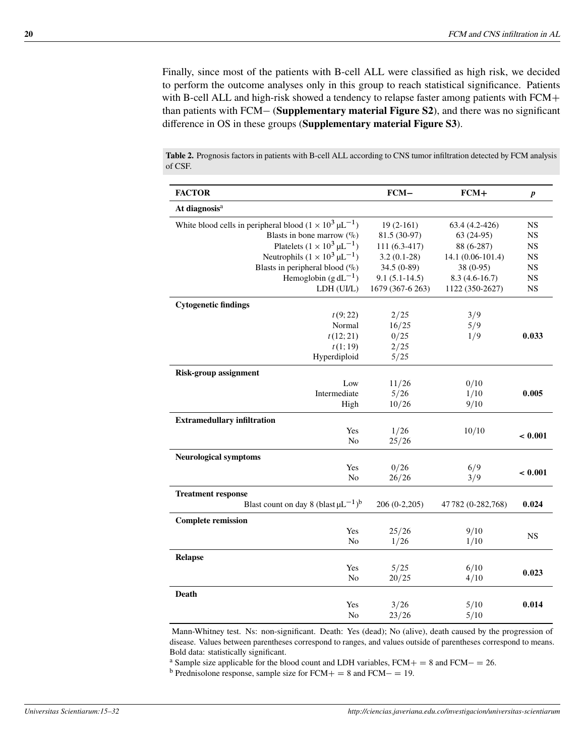Finally, since most of the patients with B-cell ALL were classified as high risk, we decided to perform the outcome analyses only in this group to reach statistical significance. Patients with B-cell ALL and high-risk showed a tendency to relapse faster among patients with  $FCM+$ than patients with FCM (**Supplementary material Figure S2**), and there was no significant difference in OS in these groups (**Supplementary material Figure S3**).

**Table 2.** Prognosis factors in patients with B-cell ALL according to CNS tumor infiltration detected by FCM analysis of CSF.

<span id="page-5-0"></span>

| <b>FACTOR</b>                                                              | $FCM-$           | $FCM+$             | $\pmb{p}$ |
|----------------------------------------------------------------------------|------------------|--------------------|-----------|
| At diagnosis <sup>a</sup>                                                  |                  |                    |           |
| White blood cells in peripheral blood $(1 \times 10^3 \,\mu\text{L}^{-1})$ | $19(2-161)$      | 63.4 (4.2-426)     | <b>NS</b> |
| Blasts in bone marrow $(\%$ )                                              | 81.5 (30-97)     | $63(24-95)$        | NS        |
| Platelets $(1 \times 10^3 \,\mu L^{-1})$                                   | 111 (6.3-417)    | 88 (6-287)         | <b>NS</b> |
| Neutrophils $(1 \times 10^3 \,\mu L^{-1})$                                 | $3.2(0.1-28)$    | 14.1 (0.06-101.4)  | NS        |
| Blasts in peripheral blood $(\%)$                                          | 34.5 (0-89)      | 38 (0-95)          | <b>NS</b> |
| Hemoglobin $(g dL^{-1})$                                                   | $9.1(5.1-14.5)$  | $8.3(4.6-16.7)$    | <b>NS</b> |
| LDH (UI/L)                                                                 | 1679 (367-6 263) | 1122 (350-2627)    | <b>NS</b> |
| <b>Cytogenetic findings</b>                                                |                  |                    |           |
| t(9; 22)                                                                   | 2/25             | 3/9                |           |
| Normal                                                                     | 16/25            | 5/9                |           |
| t(12; 21)                                                                  | 0/25             | 1/9                | 0.033     |
| t(1;19)                                                                    | 2/25             |                    |           |
| Hyperdiploid                                                               | 5/25             |                    |           |
| <b>Risk-group assignment</b>                                               |                  |                    |           |
| Low                                                                        | 11/26            | 0/10               |           |
| Intermediate                                                               | 5/26             | 1/10               | 0.005     |
| High                                                                       | 10/26            | 9/10               |           |
| <b>Extramedullary infiltration</b>                                         |                  |                    |           |
| Yes                                                                        | 1/26             | 10/10              | < 0.001   |
| No                                                                         | 25/26            |                    |           |
| <b>Neurological symptoms</b>                                               |                  |                    |           |
| Yes                                                                        | 0/26             | 6/9                | < 0.001   |
| No                                                                         | 26/26            | 3/9                |           |
| <b>Treatment response</b>                                                  |                  |                    |           |
| Blast count on day 8 (blast $\mu L^{-1}$ ) <sup>b</sup>                    | $206(0-2,205)$   | 47 782 (0-282,768) | 0.024     |
| <b>Complete remission</b>                                                  |                  |                    |           |
| Yes                                                                        | 25/26            | 9/10               | <b>NS</b> |
| No                                                                         | 1/26             | 1/10               |           |
| <b>Relapse</b>                                                             |                  |                    |           |
| Yes                                                                        | 5/25             | 6/10               | 0.023     |
| No                                                                         | 20/25            | 4/10               |           |
| Death                                                                      |                  |                    |           |
| Yes                                                                        | 3/26             | 5/10               | 0.014     |
| N <sub>o</sub>                                                             | 23/26            | 5/10               |           |

Mann-Whitney test. Ns: non-significant. Death: Yes (dead); No (alive), death caused by the progression of disease. Values between parentheses correspond to ranges, and values outside of parentheses correspond to means. Bold data: statistically significant.

<sup>a</sup> Sample size applicable for the blood count and LDH variables,  $FCM + = 8$  and  $FCM - = 26$ .

<sup>b</sup> Prednisolone response, sample size for  $FCM + = 8$  and  $FCM - = 19$ .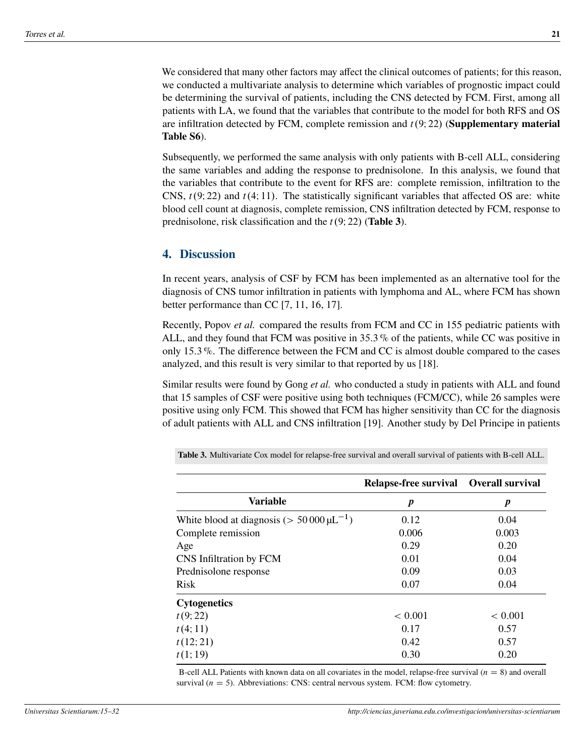We considered that many other factors may affect the clinical outcomes of patients; for this reason, we conducted a multivariate analysis to determine which variables of prognostic impact could be determining the survival of patients, including the CNS detected by FCM. First, among all patients with LA, we found that the variables that contribute to the model for both RFS and OS are infiltration detected by FCM, complete remission and  $t(9; 22)$  (**Supplementary material Table S6**).

Subsequently, we performed the same analysis with only patients with B-cell ALL, considering the same variables and adding the response to prednisolone. In this analysis, we found that the variables that contribute to the event for RFS are: complete remission, infiltration to the CNS,  $t(9; 22)$  and  $t(4; 11)$ . The statistically significant variables that affected OS are: white blood cell count at diagnosis, complete remission, CNS infiltration detected by FCM, response to prednisolone, risk classification and the  $t(9; 22)$  (**[Table 3](#page-6-0)**).

#### **4. Discussion**

In recent years, analysis of CSF by FCM has been implemented as an alternative tool for the diagnosis of CNS tumor infiltration in patients with lymphoma and AL, where FCM has shown better performance than CC [\[7,](#page-10-3) [11,](#page-10-7) [16,](#page-11-4) [17\]](#page-11-5).

Recently, Popov *et al.* compared the results from FCM and CC in 155 pediatric patients with ALL, and they found that FCM was positive in 35:3 % of the patients, while CC was positive in only 15:3 %. The difference between the FCM and CC is almost double compared to the cases analyzed, and this result is very similar to that reported by us [\[18\]](#page-11-6).

Similar results were found by Gong *et al.* who conducted a study in patients with ALL and found that 15 samples of CSF were positive using both techniques (FCM/CC), while 26 samples were positive using only FCM. This showed that FCM has higher sensitivity than CC for the diagnosis of adult patients with ALL and CNS infiltration [\[19\]](#page-11-7). Another study by Del Principe in patients

<span id="page-6-0"></span>

|                                                     | Relapse-free survival Overall survival |         |
|-----------------------------------------------------|----------------------------------------|---------|
| Variable                                            | p                                      | p       |
| White blood at diagnosis ( $> 50000 \,\mu L^{-1}$ ) | 0.12                                   | 0.04    |
| Complete remission                                  | 0.006                                  | 0.003   |
| Age                                                 | 0.29                                   | 0.20    |
| CNS Infiltration by FCM                             | 0.01                                   | 0.04    |
| Prednisolone response                               | 0.09                                   | 0.03    |
| <b>Risk</b>                                         | 0.07                                   | 0.04    |
| <b>Cytogenetics</b>                                 |                                        |         |
| t(9; 22)                                            | < 0.001                                | < 0.001 |
| t(4;11)                                             | 0.17                                   | 0.57    |
| t(12; 21)                                           | 0.42                                   | 0.57    |
| t(1;19)                                             | 0.30                                   | 0.20    |

**Table 3.** Multivariate Cox model for relapse-free survival and overall survival of patients with B-cell ALL.

B-cell ALL Patients with known data on all covariates in the model, relapse-free survival  $(n = 8)$  and overall survival ( $n = 5$ ). Abbreviations: CNS: central nervous system. FCM: flow cytometry.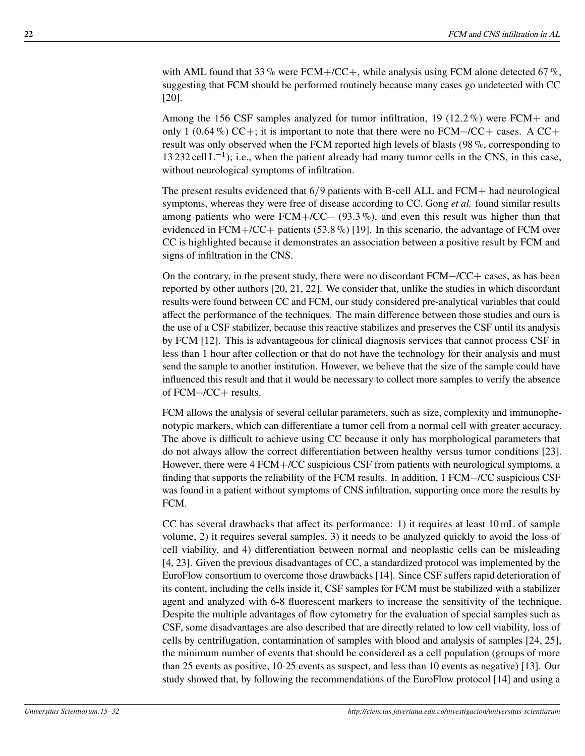with AML found that 33 % were FCM+/CC+, while analysis using FCM alone detected 67 %. suggesting that FCM should be performed routinely because many cases go undetected with CC [\[20\]](#page-12-0).

Among the 156 CSF samples analyzed for tumor infiltration, 19 (12.2 %) were FCM+ and only 1 (0.64 %) CC+; it is important to note that there were no FCM-/CC+ cases. A CC+ result was only observed when the FCM reported high levels of blasts (98 %, corresponding to 13 232 cell  $L^{-1}$ ); i.e., when the patient already had many tumor cells in the CNS, in this case, without neurological symptoms of infiltration.

The present results evidenced that  $6/9$  patients with B-cell ALL and FCM+ had neurological symptoms, whereas they were free of disease according to CC. Gong *et al.* found similar results among patients who were  $FCM+/CC-$  (93.3%), and even this result was higher than that evidenced in FCM+/CC+ patients (53.8 %) [\[19\]](#page-11-7). In this scenario, the advantage of FCM over CC is highlighted because it demonstrates an association between a positive result by FCM and signs of infiltration in the CNS.

On the contrary, in the present study, there were no discordant  $FCM-CC+$  cases, as has been reported by other authors [\[20,](#page-12-0) [21,](#page-12-1) [22\]](#page-12-2). We consider that, unlike the studies in which discordant results were found between CC and FCM, our study considered pre-analytical variables that could affect the performance of the techniques. The main difference between those studies and ours is the use of a CSF stabilizer, because this reactive stabilizes and preserves the CSF until its analysis by FCM [\[12\]](#page-11-0). This is advantageous for clinical diagnosis services that cannot process CSF in less than 1 hour after collection or that do not have the technology for their analysis and must send the sample to another institution. However, we believe that the size of the sample could have influenced this result and that it would be necessary to collect more samples to verify the absence of FCM-/CC+ results.

FCM allows the analysis of several cellular parameters, such as size, complexity and immunophenotypic markers, which can differentiate a tumor cell from a normal cell with greater accuracy. The above is difficult to achieve using CC because it only has morphological parameters that do not always allow the correct differentiation between healthy versus tumor conditions [\[23\]](#page-12-3). However, there were 4 FCM+/CC suspicious CSF from patients with neurological symptoms, a finding that supports the reliability of the FCM results. In addition, 1 FCM-/CC suspicious CSF was found in a patient without symptoms of CNS infiltration, supporting once more the results by FCM.

CC has several drawbacks that affect its performance: 1) it requires at least 10 mL of sample volume, 2) it requires several samples, 3) it needs to be analyzed quickly to avoid the loss of cell viability, and 4) differentiation between normal and neoplastic cells can be misleading [\[4,](#page-10-0) [23\]](#page-12-3). Given the previous disadvantages of CC, a standardized protocol was implemented by the EuroFlow consortium to overcome those drawbacks [\[14\]](#page-11-2). Since CSF suffers rapid deterioration of its content, including the cells inside it, CSF samples for FCM must be stabilized with a stabilizer agent and analyzed with 6-8 fluorescent markers to increase the sensitivity of the technique. Despite the multiple advantages of flow cytometry for the evaluation of special samples such as CSF, some disadvantages are also described that are directly related to low cell viability, loss of cells by centrifugation, contamination of samples with blood and analysis of samples [\[24,](#page-12-4) [25\]](#page-12-5), the minimum number of events that should be considered as a cell population (groups of more than 25 events as positive, 10-25 events as suspect, and less than 10 events as negative) [\[13\]](#page-11-1). Our study showed that, by following the recommendations of the EuroFlow protocol [\[14\]](#page-11-2) and using a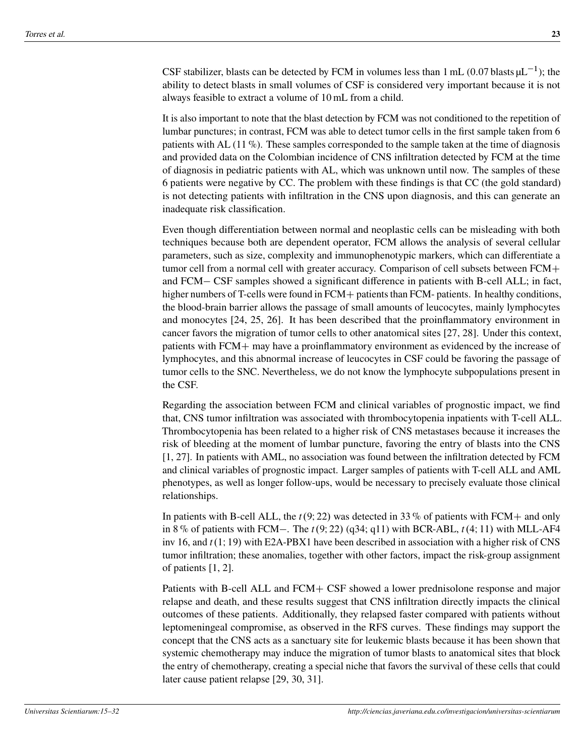CSF stabilizer, blasts can be detected by FCM in volumes less than 1 mL (0.07 blasts  $\mu L^{-1}$ ); the ability to detect blasts in small volumes of CSF is considered very important because it is not always feasible to extract a volume of 10 mL from a child.

It is also important to note that the blast detection by FCM was not conditioned to the repetition of lumbar punctures; in contrast, FCM was able to detect tumor cells in the first sample taken from 6 patients with AL (11 %). These samples corresponded to the sample taken at the time of diagnosis and provided data on the Colombian incidence of CNS infiltration detected by FCM at the time of diagnosis in pediatric patients with AL, which was unknown until now. The samples of these 6 patients were negative by CC. The problem with these findings is that CC (the gold standard) is not detecting patients with infiltration in the CNS upon diagnosis, and this can generate an inadequate risk classification.

Even though differentiation between normal and neoplastic cells can be misleading with both techniques because both are dependent operator, FCM allows the analysis of several cellular parameters, such as size, complexity and immunophenotypic markers, which can differentiate a tumor cell from a normal cell with greater accuracy. Comparison of cell subsets between  $FCM+$ and FCM – CSF samples showed a significant difference in patients with B-cell ALL; in fact, higher numbers of T-cells were found in  $FCM +$  patients than  $FCM$ - patients. In healthy conditions, the blood-brain barrier allows the passage of small amounts of leucocytes, mainly lymphocytes and monocytes [\[24,](#page-12-4) [25,](#page-12-5) [26\]](#page-12-6). It has been described that the proinflammatory environment in cancer favors the migration of tumor cells to other anatomical sites [\[27,](#page-12-7) [28\]](#page-12-8). Under this context, patients with  $FCM+$  may have a proinflammatory environment as evidenced by the increase of lymphocytes, and this abnormal increase of leucocytes in CSF could be favoring the passage of tumor cells to the SNC. Nevertheless, we do not know the lymphocyte subpopulations present in the CSF.

Regarding the association between FCM and clinical variables of prognostic impact, we find that, CNS tumor infiltration was associated with thrombocytopenia inpatients with T-cell ALL. Thrombocytopenia has been related to a higher risk of CNS metastases because it increases the risk of bleeding at the moment of lumbar puncture, favoring the entry of blasts into the CNS [\[1,](#page-9-0) [27\]](#page-12-7). In patients with AML, no association was found between the infiltration detected by FCM and clinical variables of prognostic impact. Larger samples of patients with T-cell ALL and AML phenotypes, as well as longer follow-ups, would be necessary to precisely evaluate those clinical relationships.

In patients with B-cell ALL, the  $t(9, 22)$  was detected in 33% of patients with FCM+ and only in 8% of patients with FCM-. The  $t(9; 22)$  (q34; q11) with BCR-ABL,  $t(4; 11)$  with MLL-AF4 inv 16, and  $t(1, 19)$  with E2A-PBX1 have been described in association with a higher risk of CNS tumor infiltration; these anomalies, together with other factors, impact the risk-group assignment of patients [\[1,](#page-9-0) [2\]](#page-9-1).

Patients with B-cell ALL and  $FCM + CSF$  showed a lower prednisolone response and major relapse and death, and these results suggest that CNS infiltration directly impacts the clinical outcomes of these patients. Additionally, they relapsed faster compared with patients without leptomeningeal compromise, as observed in the RFS curves. These findings may support the concept that the CNS acts as a sanctuary site for leukemic blasts because it has been shown that systemic chemotherapy may induce the migration of tumor blasts to anatomical sites that block the entry of chemotherapy, creating a special niche that favors the survival of these cells that could later cause patient relapse [\[29,](#page-13-0) [30,](#page-13-1) [31\]](#page-13-2).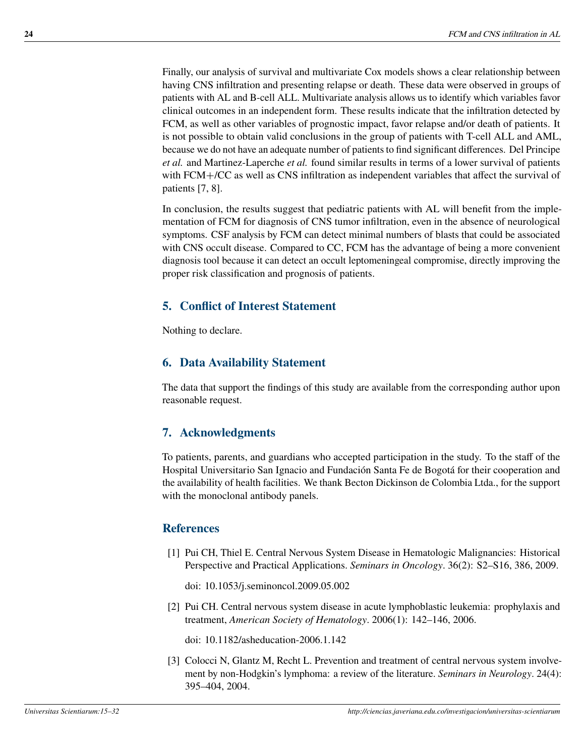Finally, our analysis of survival and multivariate Cox models shows a clear relationship between having CNS infiltration and presenting relapse or death. These data were observed in groups of patients with AL and B-cell ALL. Multivariate analysis allows us to identify which variables favor clinical outcomes in an independent form. These results indicate that the infiltration detected by FCM, as well as other variables of prognostic impact, favor relapse and/or death of patients. It is not possible to obtain valid conclusions in the group of patients with T-cell ALL and AML, because we do not have an adequate number of patients to find significant differences. Del Principe *et al.* and Martinez-Laperche *et al.* found similar results in terms of a lower survival of patients with  $FCM+/CC$  as well as CNS infiltration as independent variables that affect the survival of patients [\[7,](#page-10-3) [8\]](#page-10-4).

In conclusion, the results suggest that pediatric patients with AL will benefit from the implementation of FCM for diagnosis of CNS tumor infiltration, even in the absence of neurological symptoms. CSF analysis by FCM can detect minimal numbers of blasts that could be associated with CNS occult disease. Compared to CC, FCM has the advantage of being a more convenient diagnosis tool because it can detect an occult leptomeningeal compromise, directly improving the proper risk classification and prognosis of patients.

# **5. Conflict of Interest Statement**

Nothing to declare.

# **6. Data Availability Statement**

The data that support the findings of this study are available from the corresponding author upon reasonable request.

# **7. Acknowledgments**

To patients, parents, and guardians who accepted participation in the study. To the staff of the Hospital Universitario San Ignacio and Fundación Santa Fe de Bogotá for their cooperation and the availability of health facilities. We thank Becton Dickinson de Colombia Ltda., for the support with the monoclonal antibody panels.

## **References**

- <span id="page-9-0"></span>[1] Pui CH, Thiel E. Central Nervous System Disease in Hematologic Malignancies: Historical Perspective and Practical Applications. *Seminars in Oncology*. 36(2): S2–S16, 386, 2009.
	- doi: [10.1053/j.seminoncol.2009.05.002](https://doi.org/10.1053/j.seminoncol.2009.05.002)
- <span id="page-9-1"></span>[2] Pui CH. Central nervous system disease in acute lymphoblastic leukemia: prophylaxis and treatment, *American Society of Hematology*. 2006(1): 142–146, 2006.

doi: [10.1182/asheducation-2006.1.142](https://doi.org/10.1182/asheducation-2006.1.142)

<span id="page-9-2"></span>[3] Colocci N, Glantz M, Recht L. Prevention and treatment of central nervous system involvement by non-Hodgkin's lymphoma: a review of the literature. *Seminars in Neurology*. 24(4): 395–404, 2004.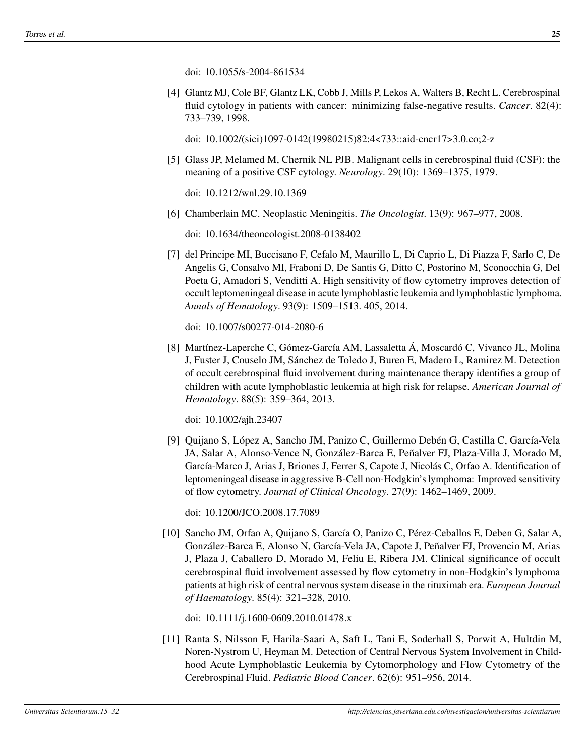doi: [10.1055/s-2004-861534](https://doi.org/10.1055/s-2004-861534)

<span id="page-10-0"></span>[4] Glantz MJ, Cole BF, Glantz LK, Cobb J, Mills P, Lekos A, Walters B, Recht L. Cerebrospinal fluid cytology in patients with cancer: minimizing false-negative results. *Cancer*. 82(4): 733–739, 1998.

doi: [10.1002/\(sici\)1097-0142\(19980215\)82:4<733::aid-cncr17>3.0.co;2-z](https://doi.org/10.1002/(sici)1097-0142(19980215)82:4<733::aid-cncr17>3.0.co;2-z)

<span id="page-10-1"></span>[5] Glass JP, Melamed M, Chernik NL PJB. Malignant cells in cerebrospinal fluid (CSF): the meaning of a positive CSF cytology. *Neurology*. 29(10): 1369–1375, 1979.

doi: [10.1212/wnl.29.10.1369](https://doi.org/10.1212/wnl.29.10.1369)

<span id="page-10-2"></span>[6] Chamberlain MC. Neoplastic Meningitis. *The Oncologist*. 13(9): 967–977, 2008.

doi: [10.1634/theoncologist.2008-0138402](https://doi.org/10.1634/theoncologist.2008-0138402)

<span id="page-10-3"></span>[7] del Principe MI, Buccisano F, Cefalo M, Maurillo L, Di Caprio L, Di Piazza F, Sarlo C, De Angelis G, Consalvo MI, Fraboni D, De Santis G, Ditto C, Postorino M, Sconocchia G, Del Poeta G, Amadori S, Venditti A. High sensitivity of flow cytometry improves detection of occult leptomeningeal disease in acute lymphoblastic leukemia and lymphoblastic lymphoma. *Annals of Hematology*. 93(9): 1509–1513. 405, 2014.

doi: [10.1007/s00277-014-2080-6](https://doi.org/10.1007/s00277-014-2080-6)

<span id="page-10-4"></span>[8] Martínez-Laperche C, Gómez-García AM, Lassaletta Á, Moscardó C, Vivanco JL, Molina J, Fuster J, Couselo JM, Sánchez de Toledo J, Bureo E, Madero L, Ramirez M. Detection of occult cerebrospinal fluid involvement during maintenance therapy identifies a group of children with acute lymphoblastic leukemia at high risk for relapse. *American Journal of Hematology*. 88(5): 359–364, 2013.

doi: [10.1002/ajh.23407](https://doi.org/10.1002/ajh.23407)

<span id="page-10-5"></span>[9] Quijano S, López A, Sancho JM, Panizo C, Guillermo Debén G, Castilla C, García-Vela JA, Salar A, Alonso-Vence N, González-Barca E, Peñalver FJ, Plaza-Villa J, Morado M, García-Marco J, Arias J, Briones J, Ferrer S, Capote J, Nicolás C, Orfao A. Identification of leptomeningeal disease in aggressive B-Cell non-Hodgkin's lymphoma: Improved sensitivity of flow cytometry. *Journal of Clinical Oncology*. 27(9): 1462–1469, 2009.

doi: [10.1200/JCO.2008.17.7089](https://doi.org/10.1200/JCO.2008.17.7089)

<span id="page-10-6"></span>[10] Sancho JM, Orfao A, Quijano S, García O, Panizo C, Pérez-Ceballos E, Deben G, Salar A, González-Barca E, Alonso N, García-Vela JA, Capote J, Peñalver FJ, Provencio M, Arias J, Plaza J, Caballero D, Morado M, Feliu E, Ribera JM. Clinical significance of occult cerebrospinal fluid involvement assessed by flow cytometry in non-Hodgkin's lymphoma patients at high risk of central nervous system disease in the rituximab era. *European Journal of Haematology*. 85(4): 321–328, 2010.

doi: [10.1111/j.1600-0609.2010.01478.x](https://doi.org/10.1111/j.1600-0609.2010.01478.x)

<span id="page-10-7"></span>[11] Ranta S, Nilsson F, Harila-Saari A, Saft L, Tani E, Soderhall S, Porwit A, Hultdin M, Noren-Nystrom U, Heyman M. Detection of Central Nervous System Involvement in Childhood Acute Lymphoblastic Leukemia by Cytomorphology and Flow Cytometry of the Cerebrospinal Fluid. *Pediatric Blood Cancer*. 62(6): 951–956, 2014.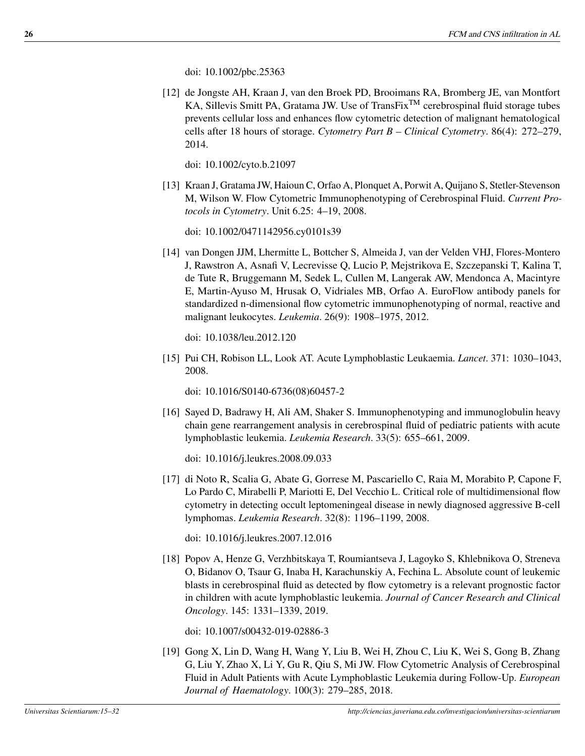doi: [10.1002/pbc.25363](https://doi.org/10.1002/pbc.25363)

<span id="page-11-0"></span>[12] de Jongste AH, Kraan J, van den Broek PD, Brooimans RA, Bromberg JE, van Montfort KA, Sillevis Smitt PA, Gratama JW. Use of TransFix<sup>TM</sup> cerebrospinal fluid storage tubes prevents cellular loss and enhances flow cytometric detection of malignant hematological cells after 18 hours of storage. *Cytometry Part B – Clinical Cytometry*. 86(4): 272–279, 2014.

doi: [10.1002/cyto.b.21097](https://doi.org/10.1002/cyto.b.21097)

<span id="page-11-1"></span>[13] Kraan J, Gratama JW, Haioun C, Orfao A, Plonquet A, Porwit A, Quijano S, Stetler-Stevenson M, Wilson W. Flow Cytometric Immunophenotyping of Cerebrospinal Fluid. *Current Protocols in Cytometry*. Unit 6.25: 4–19, 2008.

doi: [10.1002/0471142956.cy0101s39](https://doi.org/10.1002/0471142956.cy0101s39)

<span id="page-11-2"></span>[14] van Dongen JJM, Lhermitte L, Bottcher S, Almeida J, van der Velden VHJ, Flores-Montero J, Rawstron A, Asnafi V, Lecrevisse Q, Lucio P, Mejstrikova E, Szczepanski T, Kalina T, de Tute R, Bruggemann M, Sedek L, Cullen M, Langerak AW, Mendonca A, Macintyre E, Martin-Ayuso M, Hrusak O, Vidriales MB, Orfao A. EuroFlow antibody panels for standardized n-dimensional flow cytometric immunophenotyping of normal, reactive and malignant leukocytes. *Leukemia*. 26(9): 1908–1975, 2012.

doi: [10.1038/leu.2012.120](https://doi.org/10.1038/leu.2012.120)

<span id="page-11-3"></span>[15] Pui CH, Robison LL, Look AT. Acute Lymphoblastic Leukaemia. *Lancet*. 371: 1030–1043, 2008.

doi: [10.1016/S0140-6736\(08\)60457-2](https://doi.org/10.1016/S0140-6736(08)60457-2)

<span id="page-11-4"></span>[16] Sayed D, Badrawy H, Ali AM, Shaker S. Immunophenotyping and immunoglobulin heavy chain gene rearrangement analysis in cerebrospinal fluid of pediatric patients with acute lymphoblastic leukemia. *Leukemia Research*. 33(5): 655–661, 2009.

doi: [10.1016/j.leukres.2008.09.033](https://doi.org/10.1016/j.leukres.2008.09.033)

<span id="page-11-5"></span>[17] di Noto R, Scalia G, Abate G, Gorrese M, Pascariello C, Raia M, Morabito P, Capone F, Lo Pardo C, Mirabelli P, Mariotti E, Del Vecchio L. Critical role of multidimensional flow cytometry in detecting occult leptomeningeal disease in newly diagnosed aggressive B-cell lymphomas. *Leukemia Research*. 32(8): 1196–1199, 2008.

doi: [10.1016/j.leukres.2007.12.016](https://doi.org/10.1016/j.leukres.2007.12.016)

<span id="page-11-6"></span>[18] Popov A, Henze G, Verzhbitskaya T, Roumiantseva J, Lagoyko S, Khlebnikova O, Streneva O, Bidanov O, Tsaur G, Inaba H, Karachunskiy A, Fechina L. Absolute count of leukemic blasts in cerebrospinal fluid as detected by flow cytometry is a relevant prognostic factor in children with acute lymphoblastic leukemia. *Journal of Cancer Research and Clinical Oncology*. 145: 1331–1339, 2019.

doi: [10.1007/s00432-019-02886-3](https://doi.org/10.1007/s00432-019-02886-3)

<span id="page-11-7"></span>[19] Gong X, Lin D, Wang H, Wang Y, Liu B, Wei H, Zhou C, Liu K, Wei S, Gong B, Zhang G, Liu Y, Zhao X, Li Y, Gu R, Qiu S, Mi JW. Flow Cytometric Analysis of Cerebrospinal Fluid in Adult Patients with Acute Lymphoblastic Leukemia during Follow-Up. *European Journal of Haematology*. 100(3): 279–285, 2018.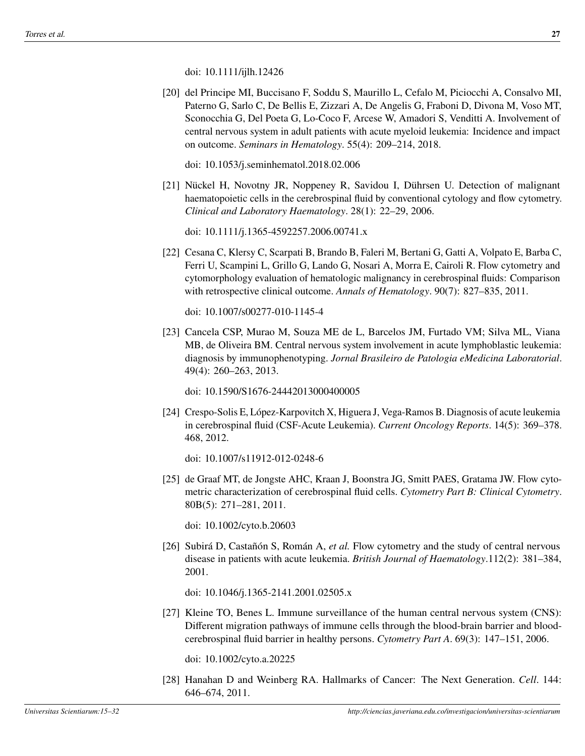<span id="page-12-0"></span>[20] del Principe MI, Buccisano F, Soddu S, Maurillo L, Cefalo M, Piciocchi A, Consalvo MI, Paterno G, Sarlo C, De Bellis E, Zizzari A, De Angelis G, Fraboni D, Divona M, Voso MT, Sconocchia G, Del Poeta G, Lo-Coco F, Arcese W, Amadori S, Venditti A. Involvement of central nervous system in adult patients with acute myeloid leukemia: Incidence and impact on outcome. *Seminars in Hematology*. 55(4): 209–214, 2018.

doi: [10.1053/j.seminhematol.2018.02.006](https://doi.org/10.1053/j.seminhematol.2018.02.006)

<span id="page-12-1"></span>[21] Nückel H, Novotny JR, Noppeney R, Savidou I, Dührsen U. Detection of malignant haematopoietic cells in the cerebrospinal fluid by conventional cytology and flow cytometry. *Clinical and Laboratory Haematology*. 28(1): 22–29, 2006.

doi: [10.1111/j.1365-4592257.2006.00741.x](https://doi.org/10.1111/j.1365-4592257.2006.00741.x)

<span id="page-12-2"></span>[22] Cesana C, Klersy C, Scarpati B, Brando B, Faleri M, Bertani G, Gatti A, Volpato E, Barba C, Ferri U, Scampini L, Grillo G, Lando G, Nosari A, Morra E, Cairoli R. Flow cytometry and cytomorphology evaluation of hematologic malignancy in cerebrospinal fluids: Comparison with retrospective clinical outcome. *Annals of Hematology*. 90(7): 827–835, 2011.

doi: [10.1007/s00277-010-1145-4](https://doi.org/10.1007/s00277-010-1145-4)

<span id="page-12-3"></span>[23] Cancela CSP, Murao M, Souza ME de L, Barcelos JM, Furtado VM; Silva ML, Viana MB, de Oliveira BM. Central nervous system involvement in acute lymphoblastic leukemia: diagnosis by immunophenotyping. *Jornal Brasileiro de Patologia eMedicina Laboratorial*. 49(4): 260–263, 2013.

doi: [10.1590/S1676-24442013000400005](https://doi.org/10.1590/S1676-24442013000400005)

<span id="page-12-4"></span>[24] Crespo-Solis E, López-Karpovitch X, Higuera J, Vega-Ramos B. Diagnosis of acute leukemia in cerebrospinal fluid (CSF-Acute Leukemia). *Current Oncology Reports*. 14(5): 369–378. 468, 2012.

doi: [10.1007/s11912-012-0248-6](https://doi.org/10.1007/s11912-012-0248-6)

<span id="page-12-5"></span>[25] de Graaf MT, de Jongste AHC, Kraan J, Boonstra JG, Smitt PAES, Gratama JW. Flow cytometric characterization of cerebrospinal fluid cells. *Cytometry Part B: Clinical Cytometry*. 80B(5): 271–281, 2011.

doi: [10.1002/cyto.b.20603](https://doi.org/10.1002/cyto.b.20603)

<span id="page-12-6"></span>[26] Subirá D, Castañón S, Román A, *et al.* Flow cytometry and the study of central nervous disease in patients with acute leukemia. *British Journal of Haematology*.112(2): 381–384, 2001.

doi: [10.1046/j.1365-2141.2001.02505.x](https://doi.org/10.1046/j.1365-2141.2001.02505.x)

<span id="page-12-7"></span>[27] Kleine TO, Benes L. Immune surveillance of the human central nervous system (CNS): Different migration pathways of immune cells through the blood-brain barrier and bloodcerebrospinal fluid barrier in healthy persons. *Cytometry Part A*. 69(3): 147–151, 2006.

doi: [10.1002/cyto.a.20225](https://doi.org/10.1002/cyto.a.20225)

<span id="page-12-8"></span>[28] Hanahan D and Weinberg RA. Hallmarks of Cancer: The Next Generation. *Cell*. 144: 646–674, 2011.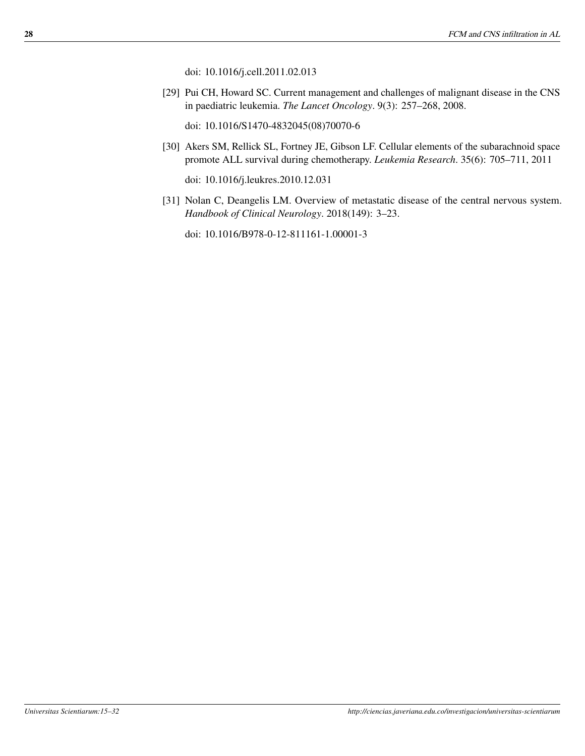doi: [10.1016/j.cell.2011.02.013](https://doi.org/10.1016/j.cell.2011.02.013)

<span id="page-13-0"></span>[29] Pui CH, Howard SC. Current management and challenges of malignant disease in the CNS in paediatric leukemia. *The Lancet Oncology*. 9(3): 257–268, 2008.

doi: [10.1016/S1470-4832045\(08\)70070-6](https://doi.org/10.1016/S1470-4832045(08)70070-6)

<span id="page-13-1"></span>[30] Akers SM, Rellick SL, Fortney JE, Gibson LF. Cellular elements of the subarachnoid space promote ALL survival during chemotherapy. *Leukemia Research*. 35(6): 705–711, 2011

doi: [10.1016/j.leukres.2010.12.031](https://doi.org/10.1016/j.leukres.2010.12.031)

<span id="page-13-2"></span>[31] Nolan C, Deangelis LM. Overview of metastatic disease of the central nervous system. *Handbook of Clinical Neurology*. 2018(149): 3–23.

doi: [10.1016/B978-0-12-811161-1.00001-3](https://doi.org/10.1016/B978-0-12-811161-1.00001-3)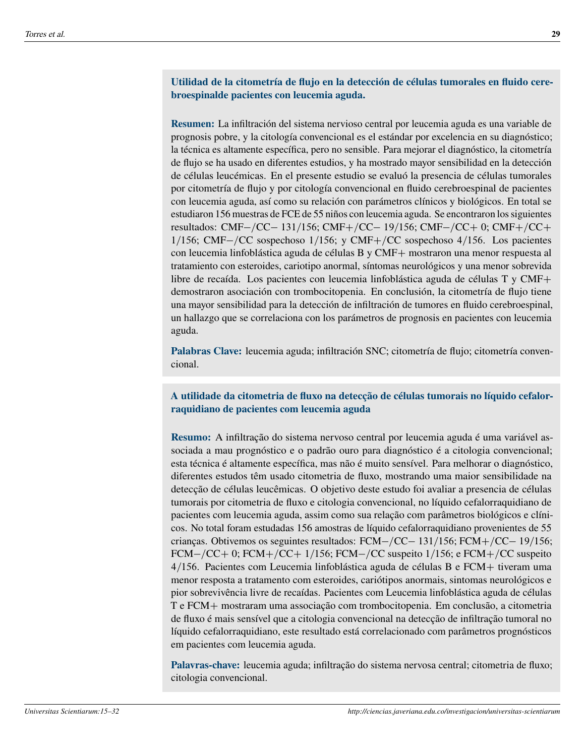#### **Utilidad de la citometría de flujo en la detección de células tumorales en fluido cerebroespinalde pacientes con leucemia aguda.**

**Resumen:** La infiltración del sistema nervioso central por leucemia aguda es una variable de prognosis pobre, y la citología convencional es el estándar por excelencia en su diagnóstico; la técnica es altamente específica, pero no sensible. Para mejorar el diagnóstico, la citometría de flujo se ha usado en diferentes estudios, y ha mostrado mayor sensibilidad en la detección de células leucémicas. En el presente estudio se evaluó la presencia de células tumorales por citometría de flujo y por citología convencional en fluido cerebroespinal de pacientes con leucemia aguda, así como su relación con parámetros clínicos y biológicos. En total se estudiaron 156 muestras de FCE de 55 niños con leucemia aguda. Se encontraron los siguientes resultados: CMF-/CC- 131/156; CMF+/CC- 19/156; CMF-/CC+ 0; CMF+/CC+  $1/156$ ; CMF-/CC sospechoso  $1/156$ ; y CMF+/CC sospechoso 4/156. Los pacientes con leucemia linfoblástica aguda de células B y  $CMF+$  mostraron una menor respuesta al tratamiento con esteroides, cariotipo anormal, síntomas neurológicos y una menor sobrevida libre de recaída. Los pacientes con leucemia linfoblástica aguda de células  $T y CMF+$ demostraron asociación con trombocitopenia. En conclusión, la citometría de flujo tiene una mayor sensibilidad para la detección de infiltración de tumores en fluido cerebroespinal, un hallazgo que se correlaciona con los parámetros de prognosis en pacientes con leucemia aguda.

**Palabras Clave:** leucemia aguda; infiltración SNC; citometría de flujo; citometría convencional.

#### **A utilidade da citometria de fluxo na detecção de células tumorais no líquido cefalorraquidiano de pacientes com leucemia aguda**

**Resumo:** A infiltração do sistema nervoso central por leucemia aguda é uma variável associada a mau prognóstico e o padrão ouro para diagnóstico é a citologia convencional; esta técnica é altamente específica, mas não é muito sensível. Para melhorar o diagnóstico, diferentes estudos têm usado citometria de fluxo, mostrando uma maior sensibilidade na detecção de células leucêmicas. O objetivo deste estudo foi avaliar a presencia de células tumorais por citometria de fluxo e citologia convencional, no líquido cefalorraquidiano de pacientes com leucemia aguda, assim como sua relação com parâmetros biológicos e clínicos. No total foram estudadas 156 amostras de líquido cefalorraquidiano provenientes de 55 crianças. Obtivemos os seguintes resultados:  $FCM - /CC - 131/156$ ;  $FCM + /CC - 19/156$ ;  $FCM-/CC + 0$ ;  $FCM+/CC + 1/156$ ;  $FCM-/CC$  suspeito 1/156; e  $FCM+/CC$  suspeito  $4/156$ . Pacientes com Leucemia linfoblástica aguda de células B e FCM $+$  tiveram uma menor resposta a tratamento com esteroides, cariótipos anormais, sintomas neurológicos e pior sobrevivência livre de recaídas. Pacientes com Leucemia linfoblástica aguda de células T e FCM+ mostraram uma associação com trombocitopenia. Em conclusão, a citometria de fluxo é mais sensível que a citologia convencional na detecção de infiltração tumoral no líquido cefalorraquidiano, este resultado está correlacionado com parâmetros prognósticos em pacientes com leucemia aguda.

**Palavras-chave:** leucemia aguda; infiltração do sistema nervosa central; citometria de fluxo; citologia convencional.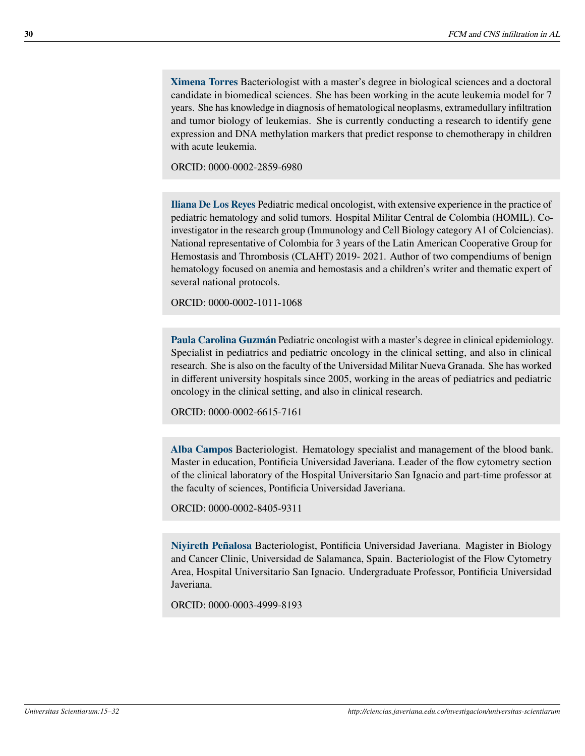**Ximena Torres** Bacteriologist with a master's degree in biological sciences and a doctoral candidate in biomedical sciences. She has been working in the acute leukemia model for 7 years. She has knowledge in diagnosis of hematological neoplasms, extramedullary infiltration and tumor biology of leukemias. She is currently conducting a research to identify gene expression and DNA methylation markers that predict response to chemotherapy in children with acute leukemia.

ORCID: [0000-0002-2859-6980](https://orcid.org/0000-0002-2859-6980)

**Iliana De Los Reyes** Pediatric medical oncologist, with extensive experience in the practice of pediatric hematology and solid tumors. Hospital Militar Central de Colombia (HOMIL). Coinvestigator in the research group (Immunology and Cell Biology category A1 of Colciencias). National representative of Colombia for 3 years of the Latin American Cooperative Group for Hemostasis and Thrombosis (CLAHT) 2019- 2021. Author of two compendiums of benign hematology focused on anemia and hemostasis and a children's writer and thematic expert of several national protocols.

ORCID: [0000-0002-1011-1068](https://orcid.org/0000-0002-1011-1068)

**Paula Carolina Guzmán** Pediatric oncologist with a master's degree in clinical epidemiology. Specialist in pediatrics and pediatric oncology in the clinical setting, and also in clinical research. She is also on the faculty of the Universidad Militar Nueva Granada. She has worked in different university hospitals since 2005, working in the areas of pediatrics and pediatric oncology in the clinical setting, and also in clinical research.

ORCID: [0000-0002-6615-7161](https://orcid.org/0000-0002-6615-7161)

**Alba Campos** Bacteriologist. Hematology specialist and management of the blood bank. Master in education, Pontificia Universidad Javeriana. Leader of the flow cytometry section of the clinical laboratory of the Hospital Universitario San Ignacio and part-time professor at the faculty of sciences, Pontificia Universidad Javeriana.

ORCID: [0000-0002-8405-9311](https://orcid.org/0000-0002-8405-9311)

**Niyireth Peñalosa** Bacteriologist, Pontificia Universidad Javeriana. Magister in Biology and Cancer Clinic, Universidad de Salamanca, Spain. Bacteriologist of the Flow Cytometry Area, Hospital Universitario San Ignacio. Undergraduate Professor, Pontificia Universidad Javeriana.

ORCID: [0000-0003-4999-8193](https://orcid.org/0000-0003-4999-8193)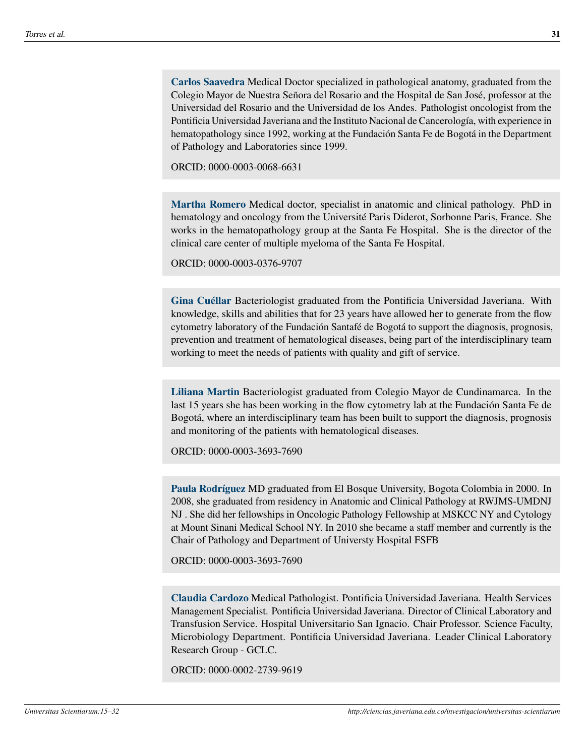**Carlos Saavedra** Medical Doctor specialized in pathological anatomy, graduated from the Colegio Mayor de Nuestra Señora del Rosario and the Hospital de San José, professor at the Universidad del Rosario and the Universidad de los Andes. Pathologist oncologist from the Pontificia Universidad Javeriana and the Instituto Nacional de Cancerología, with experience in hematopathology since 1992, working at the Fundación Santa Fe de Bogotá in the Department of Pathology and Laboratories since 1999.

ORCID: [0000-0003-0068-6631](https://orcid.org/0000-0003-0068-6631)

**Martha Romero** Medical doctor, specialist in anatomic and clinical pathology. PhD in hematology and oncology from the Université Paris Diderot, Sorbonne Paris, France. She works in the hematopathology group at the Santa Fe Hospital. She is the director of the clinical care center of multiple myeloma of the Santa Fe Hospital.

ORCID: [0000-0003-0376-9707](https://orcid.org/0000-0003-0376-9707)

**Gina Cuéllar** Bacteriologist graduated from the Pontificia Universidad Javeriana. With knowledge, skills and abilities that for 23 years have allowed her to generate from the flow cytometry laboratory of the Fundación Santafé de Bogotá to support the diagnosis, prognosis, prevention and treatment of hematological diseases, being part of the interdisciplinary team working to meet the needs of patients with quality and gift of service.

**Liliana Martin** Bacteriologist graduated from Colegio Mayor de Cundinamarca. In the last 15 years she has been working in the flow cytometry lab at the Fundación Santa Fe de Bogotá, where an interdisciplinary team has been built to support the diagnosis, prognosis and monitoring of the patients with hematological diseases.

ORCID: [0000-0003-3693-7690](https://orcid.org/0000-0003-3693-7690)

**Paula Rodríguez** MD graduated from El Bosque University, Bogota Colombia in 2000. In 2008, she graduated from residency in Anatomic and Clinical Pathology at RWJMS-UMDNJ NJ . She did her fellowships in Oncologic Pathology Fellowship at MSKCC NY and Cytology at Mount Sinani Medical School NY. In 2010 she became a staff member and currently is the Chair of Pathology and Department of Universty Hospital FSFB

ORCID: [0000-0003-3693-7690](https://orcid.org/0000-0003-3693-7690)

**Claudia Cardozo** Medical Pathologist. Pontificia Universidad Javeriana. Health Services Management Specialist. Pontificia Universidad Javeriana. Director of Clinical Laboratory and Transfusion Service. Hospital Universitario San Ignacio. Chair Professor. Science Faculty, Microbiology Department. Pontificia Universidad Javeriana. Leader Clinical Laboratory Research Group - GCLC.

ORCID: [0000-0002-2739-9619](https://orcid.org/0000-0002-2739-9619)